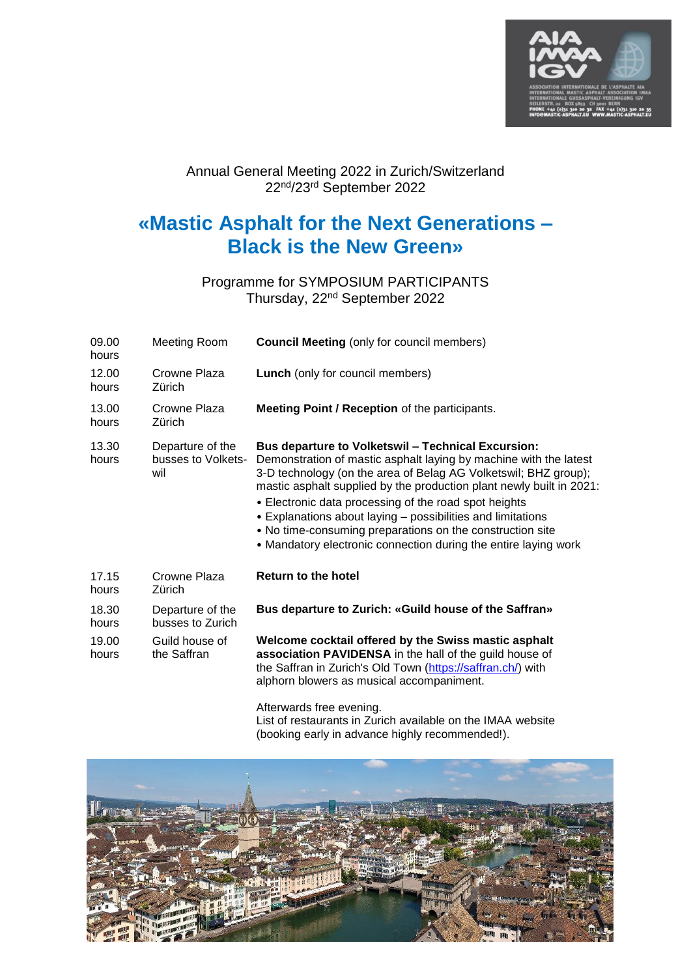

#### Annual General Meeting 2022 in Zurich/Switzerland 22<sup>nd</sup>/23<sup>rd</sup> September 2022

# **«Mastic Asphalt for the Next Generations – Black is the New Green»**

Programme for SYMPOSIUM PARTICIPANTS Thursday, 22<sup>nd</sup> September 2022

| 09.00<br>hours | Meeting Room                                  | <b>Council Meeting (only for council members)</b>                                                                                                                                                                                                                                                                                                                                                                                                                                                                                 |
|----------------|-----------------------------------------------|-----------------------------------------------------------------------------------------------------------------------------------------------------------------------------------------------------------------------------------------------------------------------------------------------------------------------------------------------------------------------------------------------------------------------------------------------------------------------------------------------------------------------------------|
| 12.00<br>hours | Crowne Plaza<br>Zürich                        | <b>Lunch</b> (only for council members)                                                                                                                                                                                                                                                                                                                                                                                                                                                                                           |
| 13.00<br>hours | Crowne Plaza<br>Zürich                        | <b>Meeting Point / Reception of the participants.</b>                                                                                                                                                                                                                                                                                                                                                                                                                                                                             |
| 13.30<br>hours | Departure of the<br>busses to Volkets-<br>wil | <b>Bus departure to Volketswil - Technical Excursion:</b><br>Demonstration of mastic asphalt laying by machine with the latest<br>3-D technology (on the area of Belag AG Volketswil; BHZ group);<br>mastic asphalt supplied by the production plant newly built in 2021:<br>• Electronic data processing of the road spot heights<br>• Explanations about laying – possibilities and limitations<br>• No time-consuming preparations on the construction site<br>• Mandatory electronic connection during the entire laying work |
| 17.15<br>hours | Crowne Plaza<br>Zürich                        | <b>Return to the hotel</b>                                                                                                                                                                                                                                                                                                                                                                                                                                                                                                        |
| 18.30<br>hours | Departure of the<br>busses to Zurich          | Bus departure to Zurich: «Guild house of the Saffran»                                                                                                                                                                                                                                                                                                                                                                                                                                                                             |
| 19.00<br>hours | Guild house of<br>the Saffran                 | Welcome cocktail offered by the Swiss mastic asphalt<br>association PAVIDENSA in the hall of the guild house of<br>the Saffran in Zurich's Old Town (https://saffran.ch/) with<br>alphorn blowers as musical accompaniment.                                                                                                                                                                                                                                                                                                       |

Afterwards free evening.

List of restaurants in Zurich available on the IMAA website (booking early in advance highly recommended!).

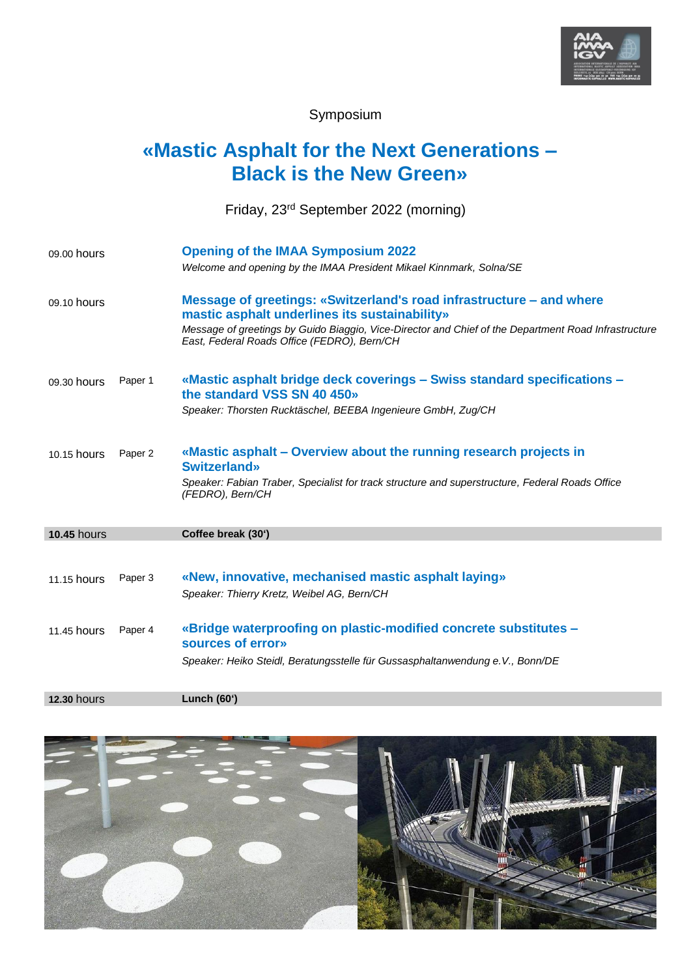

Symposium

## **«Mastic Asphalt for the Next Generations – Black is the New Green»**

Friday, 23 rd September 2022 (morning)

| 09.00 hours        |         | <b>Opening of the IMAA Symposium 2022</b>                                                                                                           |
|--------------------|---------|-----------------------------------------------------------------------------------------------------------------------------------------------------|
|                    |         | Welcome and opening by the IMAA President Mikael Kinnmark, Solna/SE                                                                                 |
| 09.10 hours        |         | Message of greetings: «Switzerland's road infrastructure – and where<br>mastic asphalt underlines its sustainability»                               |
|                    |         | Message of greetings by Guido Biaggio, Vice-Director and Chief of the Department Road Infrastructure<br>East, Federal Roads Office (FEDRO), Bern/CH |
| 09.30 hours        | Paper 1 | «Mastic asphalt bridge deck coverings – Swiss standard specifications –<br>the standard VSS SN 40 450»                                              |
|                    |         | Speaker: Thorsten Rucktäschel, BEEBA Ingenieure GmbH, Zug/CH                                                                                        |
| 10.15 hours        | Paper 2 | «Mastic asphalt – Overview about the running research projects in<br><b>Switzerland</b> »                                                           |
|                    |         | Speaker: Fabian Traber, Specialist for track structure and superstructure, Federal Roads Office<br>(FEDRO), Bern/CH                                 |
| <b>10.45 hours</b> |         | Coffee break (30')                                                                                                                                  |
|                    |         |                                                                                                                                                     |
| 11.15 hours        | Paper 3 | «New, innovative, mechanised mastic asphalt laying»                                                                                                 |
|                    |         | Speaker: Thierry Kretz, Weibel AG, Bern/CH                                                                                                          |
| 11.45 hours        | Paper 4 | «Bridge waterproofing on plastic-modified concrete substitutes -<br>sources of error»                                                               |
|                    |         | Speaker: Heiko Steidl, Beratungsstelle für Gussasphaltanwendung e.V., Bonn/DE                                                                       |
| <b>12.30 hours</b> |         | Lunch $(60^{\circ})$                                                                                                                                |
|                    |         |                                                                                                                                                     |